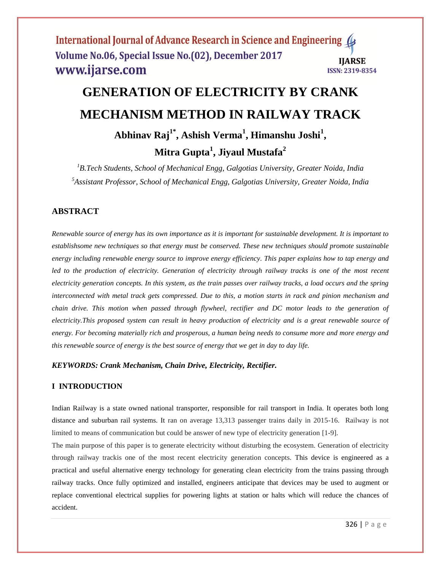# **GENERATION OF ELECTRICITY BY CRANK MECHANISM METHOD IN RAILWAY TRACK**

**Abhinav Raj1\* , Ashish Verma<sup>1</sup> , Himanshu Joshi<sup>1</sup> ,** 

**Mitra Gupta<sup>1</sup> , Jiyaul Mustafa<sup>2</sup>**

*<sup>1</sup>B.Tech Students, School of Mechanical Engg, Galgotias University, Greater Noida, India 5 Assistant Professor, School of Mechanical Engg, Galgotias University, Greater Noida, India*

# **ABSTRACT**

*Renewable source of energy has its own importance as it is important for sustainable development. It is important to establishsome new techniques so that energy must be conserved. These new techniques should promote sustainable energy including renewable energy source to improve energy efficiency. This paper explains how to tap energy and led to the production of electricity. Generation of electricity through railway tracks is one of the most recent electricity generation concepts. In this system, as the train passes over railway tracks, a load occurs and the spring interconnected with metal track gets compressed. Due to this, a motion starts in rack and pinion mechanism and chain drive. This motion when passed through flywheel, rectifier and DC motor leads to the generation of electricity.This proposed system can result in heavy production of electricity and is a great renewable source of energy. For becoming materially rich and prosperous, a human being needs to consume more and more energy and this renewable source of energy is the best source of energy that we get in day to day life.*

### *KEYWORDS: Crank Mechanism, Chain Drive, Electricity, Rectifier.*

### **I INTRODUCTION**

Indian Railway is a state owned national transporter, responsible for rail transport in India. It operates both long distance and suburban rail systems. It ran on average 13,313 passenger trains daily in 2015-16. Railway is not limited to means of communication but could be answer of new type of electricity generation [1-9].

The main purpose of this paper is to generate electricity without disturbing the ecosystem. Generation of electricity through railway trackis one of the most recent electricity generation concepts. This device is engineered as a practical and useful alternative energy technology for generating clean electricity from the trains passing through railway tracks. Once fully optimized and installed, engineers anticipate that devices may be used to augment or replace conventional electrical supplies for powering lights at station or halts which will reduce the chances of accident.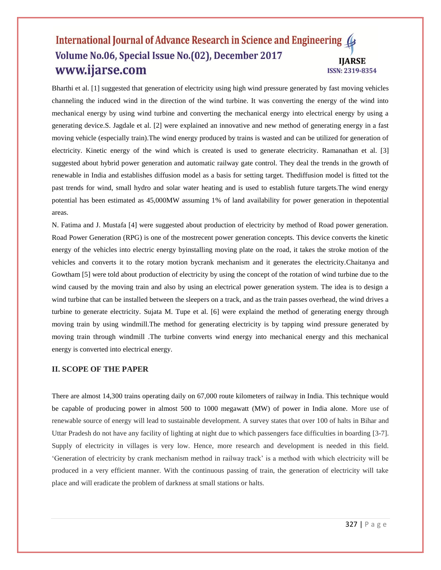Bharthi et al. [1] suggested that generation of electricity using high wind pressure generated by fast moving vehicles channeling the induced wind in the direction of the wind turbine. It was converting the energy of the wind into mechanical energy by using wind turbine and converting the mechanical energy into electrical energy by using a generating device.S. Jagdale et al. [2] were explained an innovative and new method of generating energy in a fast moving vehicle (especially train).The wind energy produced by trains is wasted and can be utilized for generation of electricity. Kinetic energy of the wind which is created is used to generate electricity. Ramanathan et al. [3] suggested about hybrid power generation and automatic railway gate control. They deal the trends in the growth of renewable in India and establishes diffusion model as a basis for setting target. Thediffusion model is fitted tot the past trends for wind, small hydro and solar water heating and is used to establish future targets.The wind energy potential has been estimated as 45,000MW assuming 1% of land availability for power generation in thepotential areas.

N. Fatima and J. Mustafa [4] were suggested about production of electricity by method of Road power generation. Road Power Generation (RPG) is one of the mostrecent power generation concepts. This device converts the kinetic energy of the vehicles into electric energy byinstalling moving plate on the road, it takes the stroke motion of the vehicles and converts it to the rotary motion bycrank mechanism and it generates the electricity.Chaitanya and Gowtham [5] were told about production of electricity by using the concept of the rotation of wind turbine due to the wind caused by the moving train and also by using an electrical power generation system. The idea is to design a wind turbine that can be installed between the sleepers on a track, and as the train passes overhead, the wind drives a turbine to generate electricity. Sujata M. Tupe et al. [6] were explaind the method of generating energy through moving train by using windmill.The method for generating electricity is by tapping wind pressure generated by moving train through windmill .The turbine converts wind energy into mechanical energy and this mechanical energy is converted into electrical energy.

#### **II. SCOPE OF THE PAPER**

There are almost 14,300 trains operating daily on 67,000 route kilometers of railway in India. This technique would be capable of producing power in almost 500 to 1000 megawatt (MW) of power in India alone. More use of renewable source of energy will lead to sustainable development. A survey states that over 100 of halts in Bihar and Uttar Pradesh do not have any facility of lighting at night due to which passengers face difficulties in boarding [3-7]. Supply of electricity in villages is very low. Hence, more research and development is needed in this field. 'Generation of electricity by crank mechanism method in railway track' is a method with which electricity will be produced in a very efficient manner. With the continuous passing of train, the generation of electricity will take place and will eradicate the problem of darkness at small stations or halts.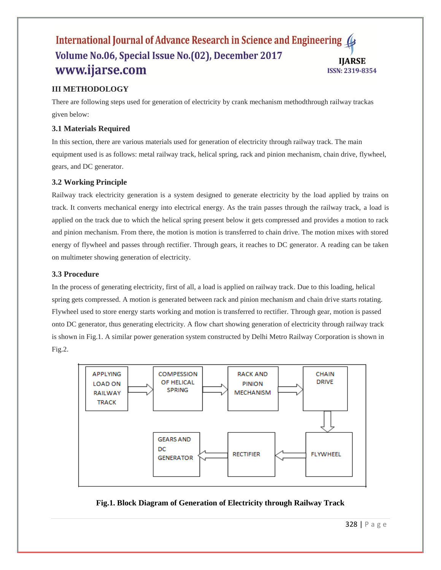## **III METHODOLOGY**

There are following steps used for generation of electricity by crank mechanism methodthrough railway trackas given below:

### **3.1 Materials Required**

In this section, there are various materials used for generation of electricity through railway track. The main equipment used is as follows: metal railway track, helical spring, rack and pinion mechanism, chain drive, flywheel, gears, and DC generator.

## **3.2 Working Principle**

Railway track electricity generation is a system designed to generate electricity by the load applied by trains on track. It converts mechanical energy into electrical energy. As the train passes through the railway track, a load is applied on the track due to which the helical spring present below it gets compressed and provides a motion to rack and pinion mechanism. From there, the motion is motion is transferred to chain drive. The motion mixes with stored energy of flywheel and passes through rectifier. Through gears, it reaches to DC generator. A reading can be taken on multimeter showing generation of electricity.

### **3.3 Procedure**

In the process of generating electricity, first of all, a load is applied on railway track. Due to this loading, helical spring gets compressed. A motion is generated between rack and pinion mechanism and chain drive starts rotating. Flywheel used to store energy starts working and motion is transferred to rectifier. Through gear, motion is passed onto DC generator, thus generating electricity. A flow chart showing generation of electricity through railway track is shown in Fig.1. A similar power generation system constructed by Delhi Metro Railway Corporation is shown in Fig.2.



### **Fig.1. Block Diagram of Generation of Electricity through Railway Track**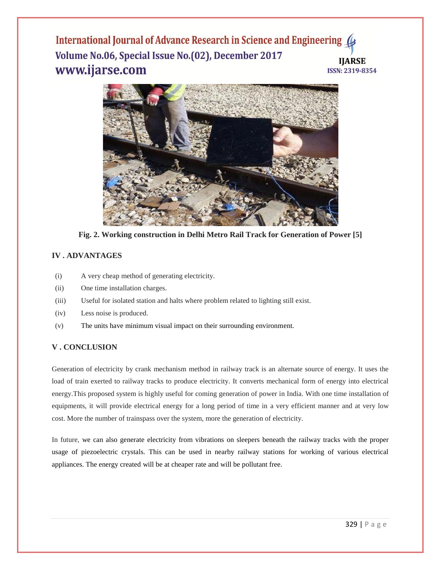

**Fig. 2. Working construction in Delhi Metro Rail Track for Generation of Power [5]**

## **IV . ADVANTAGES**

- (i) A very cheap method of generating electricity.
- (ii) One time installation charges.
- (iii) Useful for isolated station and halts where problem related to lighting still exist.
- (iv) Less noise is produced.
- (v) The units have minimum visual impact on their surrounding environment.

## **V . CONCLUSION**

Generation of electricity by crank mechanism method in railway track is an alternate source of energy. It uses the load of train exerted to railway tracks to produce electricity. It converts mechanical form of energy into electrical energy.This proposed system is highly useful for coming generation of power in India. With one time installation of equipments, it will provide electrical energy for a long period of time in a very efficient manner and at very low cost. More the number of trainspass over the system, more the generation of electricity.

In future, we can also generate electricity from vibrations on sleepers beneath the railway tracks with the proper usage of piezoelectric crystals. This can be used in nearby railway stations for working of various electrical appliances. The energy created will be at cheaper rate and will be pollutant free.